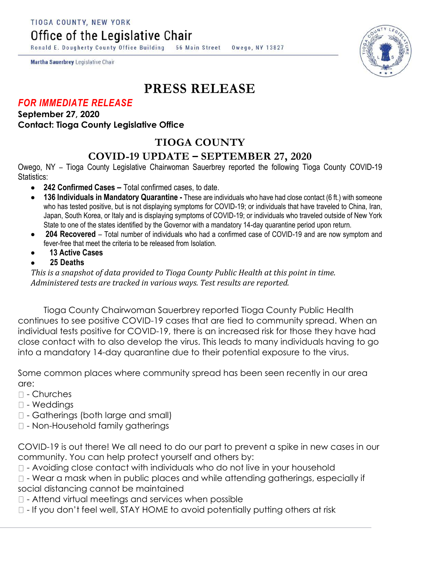TIOGA COUNTY, NEW YORK

Office of the Legislative Chair

Ronald E. Dougherty County Office Building 56 Main Street Owego, NY 13827

Martha Sauerbrey Legislative Chair

# **PRESS RELEASE**

#### *FOR IMMEDIATE RELEASE*

**September 27, 2020 Contact: Tioga County Legislative Office**

## **TIOGA COUNTY**

### **COVID-19 UPDATE – SEPTEMBER 27, 2020**

Owego, NY – Tioga County Legislative Chairwoman Sauerbrey reported the following Tioga County COVID-19 Statistics:

- **242 Confirmed Cases –** Total confirmed cases, to date.
- **136 Individuals in Mandatory Quarantine -** These are individuals who have had close contact (6 ft.) with someone who has tested positive, but is not displaying symptoms for COVID-19; or individuals that have traveled to China, Iran, Japan, South Korea, or Italy and is displaying symptoms of COVID-19; or individuals who traveled outside of New York State to one of the states identified by the Governor with a mandatory 14-day quarantine period upon return.
- **204 Recovered**  Total number of individuals who had a confirmed case of COVID-19 and are now symptom and fever-free that meet the criteria to be released from Isolation.
- **13 Active Cases**
- **25 Deaths**

*This is a snapshot of data provided to Tioga County Public Health at this point in time. Administered tests are tracked in various ways. Test results are reported.*

Tioga County Chairwoman Sauerbrey reported Tioga County Public Health continues to see positive COVID-19 cases that are tied to community spread. When an individual tests positive for COVID-19, there is an increased risk for those they have had close contact with to also develop the virus. This leads to many individuals having to go into a mandatory 14-day quarantine due to their potential exposure to the virus.

Some common places where community spread has been seen recently in our area are:

- $\Box$  Churches
- $\square$  Weddings
- Gatherings (both large and small)
- Non-Household family gatherings

COVID-19 is out there! We all need to do our part to prevent a spike in new cases in our community. You can help protect yourself and others by:

 $\Box$  - Avoiding close contact with individuals who do not live in your household

 $\Box$  - Wear a mask when in public places and while attending gatherings, especially if social distancing cannot be maintained

 $\Box$  - Attend virtual meetings and services when possible

 $\Box$  - If you don't feel well, STAY HOME to avoid potentially putting others at risk